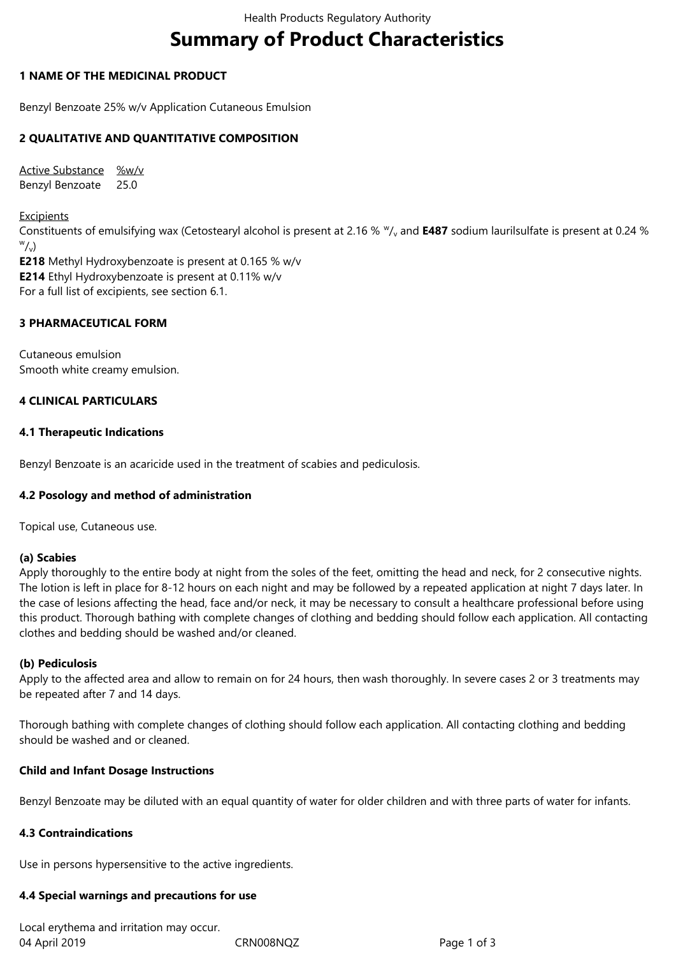# **Summary of Product Characteristics**

#### **1 NAME OF THE MEDICINAL PRODUCT**

Benzyl Benzoate 25% w/v Application Cutaneous Emulsion

#### **2 QUALITATIVE AND QUANTITATIVE COMPOSITION**

Active Substance %w/v Benzyl Benzoate 25.0

**Excipients** Constituents of emulsifying wax (Cetostearyl alcohol is present at 2.16 %  $\frac{w}{v}$  and **E487** sodium laurilsulfate is present at 0.24 %  $\sqrt[w]{\sqrt{2}}$ **E218** Methyl Hydroxybenzoate is present at 0.165 % w/v **E214** Ethyl Hydroxybenzoate is present at 0.11% w/v

For a full list of excipients, see section 6.1.

#### **3 PHARMACEUTICAL FORM**

Cutaneous emulsion Smooth white creamy emulsion.

#### **4 CLINICAL PARTICULARS**

#### **4.1 Therapeutic Indications**

Benzyl Benzoate is an acaricide used in the treatment of scabies and pediculosis.

## **4.2 Posology and method of administration**

Topical use, Cutaneous use.

#### **(a) Scabies**

Apply thoroughly to the entire body at night from the soles of the feet, omitting the head and neck, for 2 consecutive nights. The lotion is left in place for 8-12 hours on each night and may be followed by a repeated application at night 7 days later. In the case of lesions affecting the head, face and/or neck, it may be necessary to consult a healthcare professional before using this product. Thorough bathing with complete changes of clothing and bedding should follow each application. All contacting clothes and bedding should be washed and/or cleaned.

#### **(b) Pediculosis**

Apply to the affected area and allow to remain on for 24 hours, then wash thoroughly. In severe cases 2 or 3 treatments may be repeated after 7 and 14 days.

Thorough bathing with complete changes of clothing should follow each application. All contacting clothing and bedding should be washed and or cleaned.

#### **Child and Infant Dosage Instructions**

Benzyl Benzoate may be diluted with an equal quantity of water for older children and with three parts of water for infants.

#### **4.3 Contraindications**

Use in persons hypersensitive to the active ingredients.

## **4.4 Special warnings and precautions for use**

04 April 2019 CRN008NQZ Page 1 of 3 Local erythema and irritation may occur.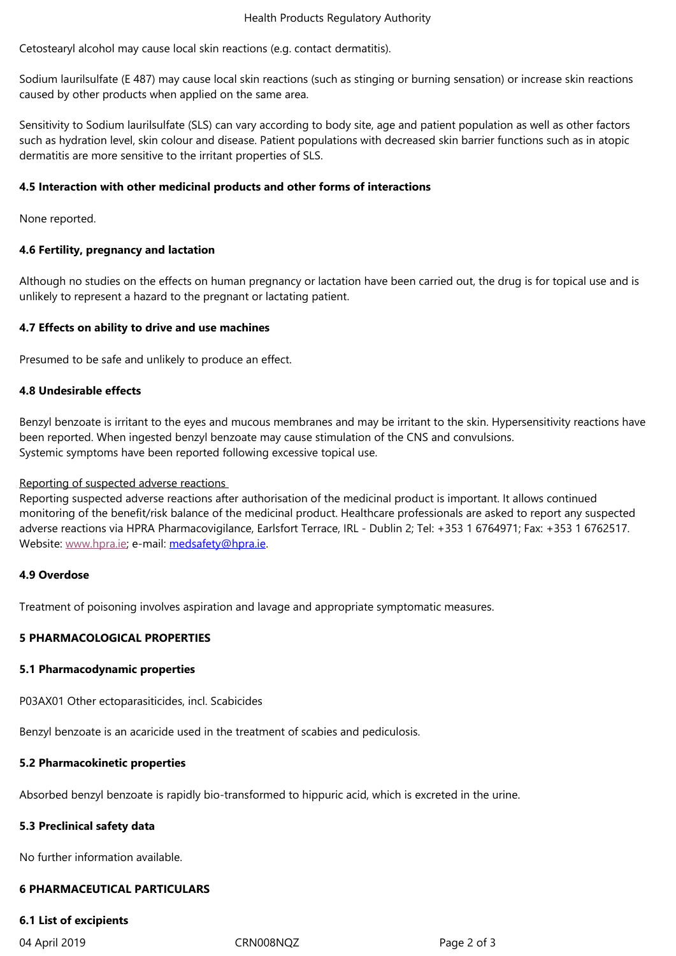Sodium laurilsulfate (E 487) may cause local skin reactions (such as stinging or burning sensation) or increase skin reactions caused by other products when applied on the same area.

Sensitivity to Sodium laurilsulfate (SLS) can vary according to body site, age and patient population as well as other factors such as hydration level, skin colour and disease. Patient populations with decreased skin barrier functions such as in atopic dermatitis are more sensitive to the irritant properties of SLS.

#### **4.5 Interaction with other medicinal products and other forms of interactions**

None reported.

#### **4.6 Fertility, pregnancy and lactation**

Although no studies on the effects on human pregnancy or lactation have been carried out, the drug is for topical use and is unlikely to represent a hazard to the pregnant or lactating patient.

#### **4.7 Effects on ability to drive and use machines**

Presumed to be safe and unlikely to produce an effect.

#### **4.8 Undesirable effects**

Benzyl benzoate is irritant to the eyes and mucous membranes and may be irritant to the skin. Hypersensitivity reactions have been reported. When ingested benzyl benzoate may cause stimulation of the CNS and convulsions. Systemic symptoms have been reported following excessive topical use.

#### Reporting of suspected adverse reactions

Reporting suspected adverse reactions after authorisation of the medicinal product is important. It allows continued monitoring of the benefit/risk balance of the medicinal product. Healthcare professionals are asked to report any suspected adverse reactions via HPRA Pharmacovigilance, Earlsfort Terrace, IRL - Dublin 2; Tel: +353 1 6764971; Fax: +353 1 6762517. Website: www.hpra.ie; e-mail: medsafety@hpra.ie.

#### **4.9 Overdose**

Treatme[nt of poisonin](http://www.hpra.ie/)g invol[ves aspiration and la](mailto:medsafety@hpra.ie)vage and appropriate symptomatic measures.

#### **5 PHARMACOLOGICAL PROPERTIES**

#### **5.1 Pharmacodynamic properties**

P03AX01 Other ectoparasiticides, incl. Scabicides

Benzyl benzoate is an acaricide used in the treatment of scabies and pediculosis.

## **5.2 Pharmacokinetic properties**

Absorbed benzyl benzoate is rapidly bio-transformed to hippuric acid, which is excreted in the urine.

## **5.3 Preclinical safety data**

No further information available.

## **6 PHARMACEUTICAL PARTICULARS**

## **6.1 List of excipients**

04 April 2019 CRN008NQZ Page 2 of 3